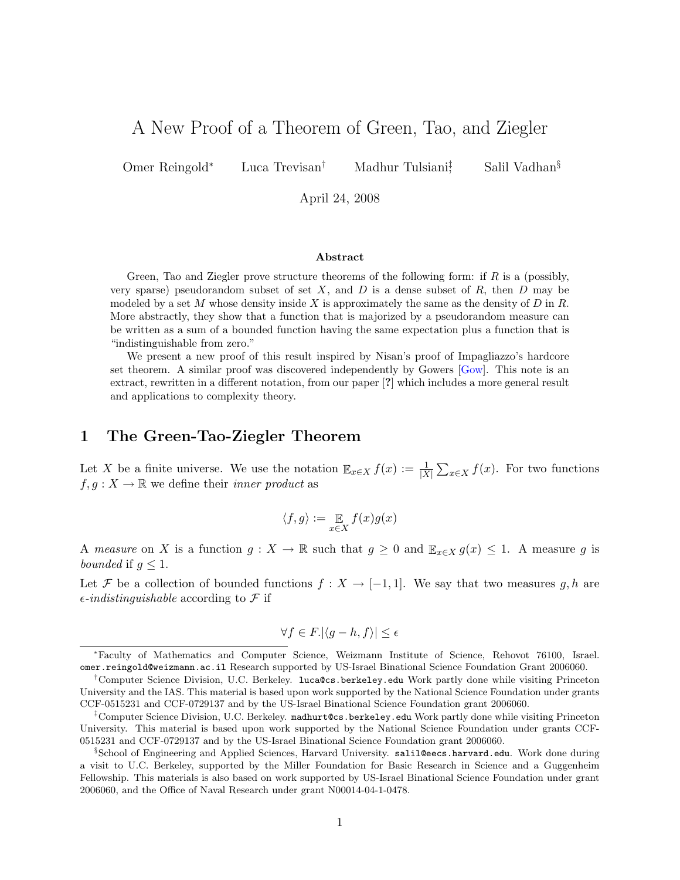# A New Proof of a Theorem of Green, Tao, and Ziegler

Omer Reingold<sup>∗</sup> Luca Trevisan† Madhur Tulsiani‡

Salil Vadhan<sup>§</sup>

April 24, 2008

#### Abstract

Green, Tao and Ziegler prove structure theorems of the following form: if  $R$  is a (possibly, very sparse) pseudorandom subset of set X, and D is a dense subset of R, then D may be modeled by a set M whose density inside X is approximately the same as the density of  $D$  in  $R$ . More abstractly, they show that a function that is majorized by a pseudorandom measure can be written as a sum of a bounded function having the same expectation plus a function that is "indistinguishable from zero."

We present a new proof of this result inspired by Nisan's proof of Impagliazzo's hardcore set theorem. A similar proof was discovered independently by Gowers [Gow]. This note is an extract, rewritten in a different notation, from our paper [?] which includes a more general result and applications to complexity theory.

## 1 The Green-Tao-Ziegler Theorem

Let X be a finite universe. We use the notation  $\mathbb{E}_{x \in X} f(x) := \frac{1}{|X|} \sum_{x \in X} f(x)$ . For two functions  $f, g: X \to \mathbb{R}$  we define their *inner product* as

$$
\langle f, g \rangle := \mathop{\mathbb{E}}_{x \in X} f(x) g(x)
$$

A measure on X is a function  $g: X \to \mathbb{R}$  such that  $g \geq 0$  and  $\mathbb{E}_{x \in X} g(x) \leq 1$ . A measure g is bounded if  $g \leq 1$ .

Let F be a collection of bounded functions  $f: X \to [-1,1]$ . We say that two measures g, h are  $\epsilon$ -indistinguishable according to  $\mathcal F$  if

$$
\forall f \in F. |\langle g - h, f \rangle| \le \epsilon
$$

<sup>∗</sup>Faculty of Mathematics and Computer Science, Weizmann Institute of Science, Rehovot 76100, Israel. omer.reingold@weizmann.ac.il Research supported by US-Israel Binational Science Foundation Grant 2006060.

<sup>†</sup>Computer Science Division, U.C. Berkeley. luca@cs.berkeley.edu Work partly done while visiting Princeton University and the IAS. This material is based upon work supported by the National Science Foundation under grants CCF-0515231 and CCF-0729137 and by the US-Israel Binational Science Foundation grant 2006060.

<sup>‡</sup>Computer Science Division, U.C. Berkeley. madhurt@cs.berkeley.edu Work partly done while visiting Princeton University. This material is based upon work supported by the National Science Foundation under grants CCF-0515231 and CCF-0729137 and by the US-Israel Binational Science Foundation grant 2006060.

<sup>&</sup>lt;sup>§</sup>School of Engineering and Applied Sciences, Harvard University. salil@eecs.harvard.edu. Work done during a visit to U.C. Berkeley, supported by the Miller Foundation for Basic Research in Science and a Guggenheim Fellowship. This materials is also based on work supported by US-Israel Binational Science Foundation under grant 2006060, and the Office of Naval Research under grant N00014-04-1-0478.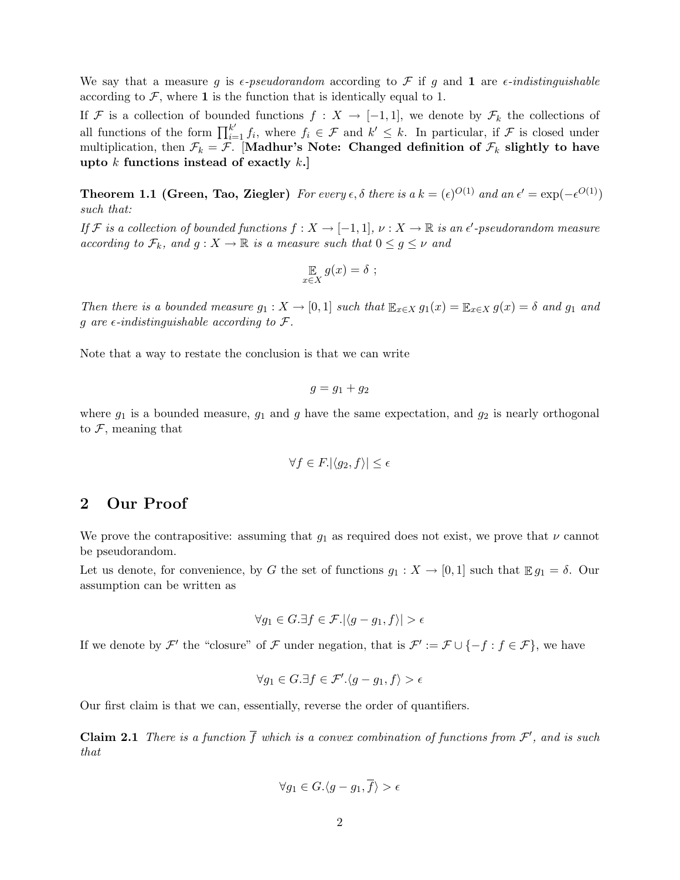We say that a measure g is  $\epsilon$ -pseudorandom according to F if g and 1 are  $\epsilon$ -indistinguishable according to  $\mathcal{F}$ , where 1 is the function that is identically equal to 1.

If F is a collection of bounded functions  $f: X \to [-1,1]$ , we denote by  $\mathcal{F}_k$  the collections of all functions of the form  $\prod_{i=1}^{k'} f_i$ , where  $f_i \in \mathcal{F}$  and  $k' \leq k$ . In particular, if  $\mathcal{F}$  is closed under multiplication, then  $\mathcal{F}_k = \mathcal{F}$ . [Madhur's Note: Changed definition of  $\mathcal{F}_k$  slightly to have upto  $k$  functions instead of exactly  $k$ .

**Theorem 1.1 (Green, Tao, Ziegler)** For every  $\epsilon$ ,  $\delta$  there is a  $k = (\epsilon)^{O(1)}$  and an  $\epsilon' = \exp(-\epsilon^{O(1)})$ such that:

If F is a collection of bounded functions  $f: X \to [-1,1], \nu: X \to \mathbb{R}$  is an  $\epsilon'$ -pseudorandom measure according to  $\mathcal{F}_k$ , and  $g: X \to \mathbb{R}$  is a measure such that  $0 \leq g \leq \nu$  and

$$
\mathop{\mathbb{E}}_{x \in X} g(x) = \delta ;
$$

Then there is a bounded measure  $g_1: X \to [0,1]$  such that  $\mathbb{E}_{x \in X} g_1(x) = \mathbb{E}_{x \in X} g(x) = \delta$  and  $g_1$  and g are  $\epsilon$ -indistinguishable according to  $\mathcal{F}$ .

Note that a way to restate the conclusion is that we can write

$$
g = g_1 + g_2
$$

where  $g_1$  is a bounded measure,  $g_1$  and g have the same expectation, and  $g_2$  is nearly orthogonal to  $\mathcal{F}$ , meaning that

$$
\forall f \in F. |\langle g_2, f \rangle| \le \epsilon
$$

## 2 Our Proof

We prove the contrapositive: assuming that  $g_1$  as required does not exist, we prove that  $\nu$  cannot be pseudorandom.

Let us denote, for convenience, by G the set of functions  $g_1 : X \to [0,1]$  such that  $\mathbb{E} g_1 = \delta$ . Our assumption can be written as

$$
\forall g_1 \in G. \exists f \in \mathcal{F}. |\langle g - g_1, f \rangle| > \epsilon
$$

If we denote by  $\mathcal{F}'$  the "closure" of  $\mathcal F$  under negation, that is  $\mathcal{F}' := \mathcal{F} \cup \{-f : f \in \mathcal{F}\}\,$ , we have

$$
\forall g_1 \in G. \exists f \in \mathcal{F}'.\langle g - g_1, f \rangle > \epsilon
$$

Our first claim is that we can, essentially, reverse the order of quantifiers.

**Claim 2.1** There is a function  $\overline{f}$  which is a convex combination of functions from  $\mathcal{F}'$ , and is such that

$$
\forall g_1 \in G. \langle g - g_1, \overline{f} \rangle > \epsilon
$$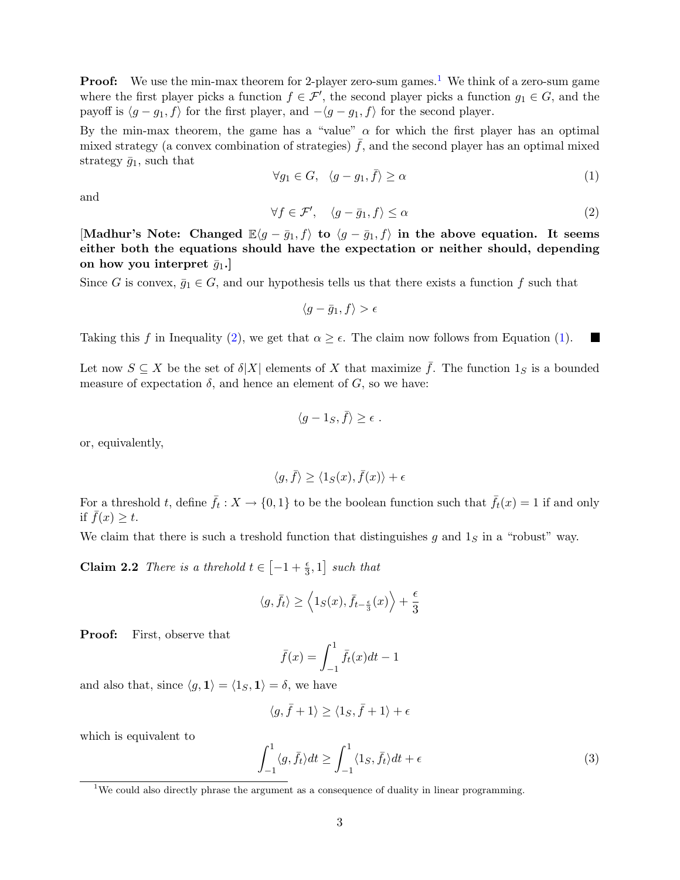**Proof:** We use the min-max theorem for 2-player zero-sum games.<sup>1</sup> We think of a zero-sum game where the first player picks a function  $f \in \mathcal{F}'$ , the second player picks a function  $g_1 \in G$ , and the payoff is  $\langle g - g_1, f \rangle$  for the first player, and  $-\langle g - g_1, f \rangle$  for the second player.

By the min-max theorem, the game has a "value"  $\alpha$  for which the first player has an optimal mixed strategy (a convex combination of strategies)  $\bar{f}$ , and the second player has an optimal mixed strategy  $\bar{g}_1$ , such that

$$
\forall g_1 \in G, \ \langle g - g_1, \bar{f} \rangle \ge \alpha \tag{1}
$$

and

$$
\forall f \in \mathcal{F}', \quad \langle g - \bar{g}_1, f \rangle \le \alpha \tag{2}
$$

[Madhur's Note: Changed  $\mathbb{E}\langle g-\bar{g}_1,f\rangle$  to  $\langle g-\bar{g}_1,f\rangle$  in the above equation. It seems either both the equations should have the expectation or neither should, depending on how you interpret  $\bar{q}_1$ .

Since G is convex,  $\bar{g}_1 \in G$ , and our hypothesis tells us that there exists a function f such that

$$
\langle g-\bar{g}_1,f\rangle > \epsilon
$$

Taking this f in Inequality (2), we get that  $\alpha \geq \epsilon$ . The claim now follows from Equation (1).  $\blacksquare$ 

Let now  $S \subseteq X$  be the set of  $\delta |X|$  elements of X that maximize  $\bar{f}$ . The function  $1_S$  is a bounded measure of expectation  $\delta$ , and hence an element of  $G$ , so we have:

$$
\langle g-1_S,\bar{f}\rangle\geq \epsilon.
$$

or, equivalently,

$$
\langle g, \bar{f} \rangle \ge \langle 1_S(x), \bar{f}(x) \rangle + \epsilon
$$

For a threshold t, define  $\bar{f}_t: X \to \{0,1\}$  to be the boolean function such that  $\bar{f}_t(x) = 1$  if and only if  $f(x) \geq t$ .

We claim that there is such a treshold function that distinguishes g and  $1<sub>S</sub>$  in a "robust" way.

**Claim 2.2** There is a threhold  $t \in \left[-1 + \frac{\epsilon}{3}, 1\right]$  such that

$$
\langle g, \bar f_t \rangle \geq \left\langle 1_S(x), \bar f_{t-\frac{\epsilon}{3}}(x) \right\rangle + \frac{\epsilon}{3}
$$

Proof: First, observe that

$$
\bar{f}(x) = \int_{-1}^{1} \bar{f}_t(x)dt - 1
$$

and also that, since  $\langle g, \mathbf{1} \rangle = \langle 1_S, \mathbf{1} \rangle = \delta$ , we have

$$
\langle g, \bar{f}+1 \rangle \ge \langle 1_S, \bar{f}+1 \rangle + \epsilon
$$

which is equivalent to

$$
\int_{-1}^{1} \langle g, \bar{f}_t \rangle dt \ge \int_{-1}^{1} \langle 1_S, \bar{f}_t \rangle dt + \epsilon \tag{3}
$$

<sup>&</sup>lt;sup>1</sup>We could also directly phrase the argument as a consequence of duality in linear programming.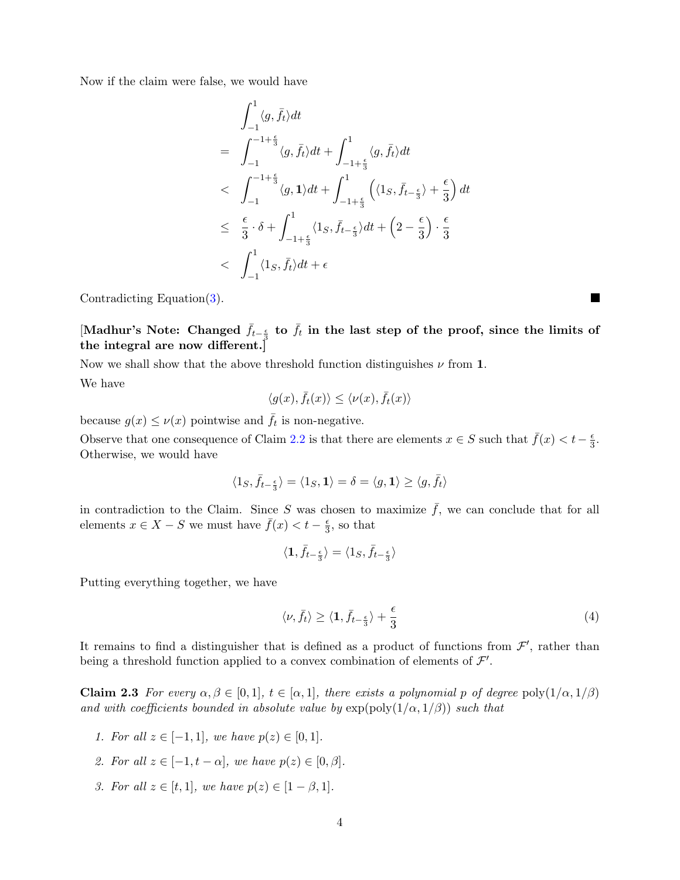Now if the claim were false, we would have

$$
\int_{-1}^{1} \langle g, \bar{f}_t \rangle dt
$$
\n
$$
= \int_{-1}^{-1+\frac{\epsilon}{3}} \langle g, \bar{f}_t \rangle dt + \int_{-1+\frac{\epsilon}{3}}^{1} \langle g, \bar{f}_t \rangle dt
$$
\n
$$
< \int_{-1}^{-1+\frac{\epsilon}{3}} \langle g, \mathbf{1} \rangle dt + \int_{-1+\frac{\epsilon}{3}}^{1} \left( \langle \mathbf{1}_S, \bar{f}_{t-\frac{\epsilon}{3}} \rangle + \frac{\epsilon}{3} \right) dt
$$
\n
$$
\leq \frac{\epsilon}{3} \cdot \delta + \int_{-1+\frac{\epsilon}{3}}^{1} \langle \mathbf{1}_S, \bar{f}_{t-\frac{\epsilon}{3}} \rangle dt + \left( 2 - \frac{\epsilon}{3} \right) \cdot \frac{\epsilon}{3}
$$
\n
$$
< \int_{-1}^{1} \langle \mathbf{1}_S, \bar{f}_t \rangle dt + \epsilon
$$

Contradicting Equation(3).

[Madhur's Note: Changed  $\bar{f}_{t-\frac{\epsilon}{3}}$  to  $\bar{f}_t$  in the last step of the proof, since the limits of the integral are now different.]

Now we shall show that the above threshold function distinguishes  $\nu$  from 1.

We have

$$
\langle g(x), \bar{f}_t(x) \rangle \le \langle \nu(x), \bar{f}_t(x) \rangle
$$

because  $g(x) \leq \nu(x)$  pointwise and  $\bar{f}_t$  is non-negative.

Observe that one consequence of Claim 2.2 is that there are elements  $x \in S$  such that  $\bar{f}(x) < t-\frac{\epsilon}{3}$  $\frac{\epsilon}{3}$ . Otherwise, we would have

$$
\langle 1_S, \bar f_{t-\frac{\epsilon}{3}} \rangle = \langle 1_S, {\bf 1} \rangle = \delta = \langle g, {\bf 1} \rangle \geq \langle g, \bar f_t \rangle
$$

in contradiction to the Claim. Since S was chosen to maximize  $\bar{f}$ , we can conclude that for all elements  $x \in X - S$  we must have  $\bar{f}(x) < t - \frac{\epsilon}{3}$  $\frac{\epsilon}{3}$ , so that

$$
\langle {\bf 1}, \bar{f}_{t-\frac{\epsilon}{3}} \rangle = \langle {\bf 1}_S, \bar{f}_{t-\frac{\epsilon}{3}} \rangle
$$

Putting everything together, we have

$$
\langle \nu, \bar{f}_t \rangle \ge \langle \mathbf{1}, \bar{f}_{t-\frac{\epsilon}{3}} \rangle + \frac{\epsilon}{3} \tag{4}
$$

It remains to find a distinguisher that is defined as a product of functions from  $\mathcal{F}'$ , rather than being a threshold function applied to a convex combination of elements of  $\mathcal{F}'$ .

Claim 2.3 For every  $\alpha, \beta \in [0,1], t \in [\alpha,1]$ , there exists a polynomial p of degree poly $(1/\alpha, 1/\beta)$ and with coefficients bounded in absolute value by  $\exp(\text{poly}(1/\alpha, 1/\beta))$  such that

- 1. For all  $z \in [-1,1]$ , we have  $p(z) \in [0,1]$ .
- 2. For all  $z \in [-1, t \alpha]$ , we have  $p(z) \in [0, \beta]$ .
- 3. For all  $z \in [t, 1]$ , we have  $p(z) \in [1 \beta, 1]$ .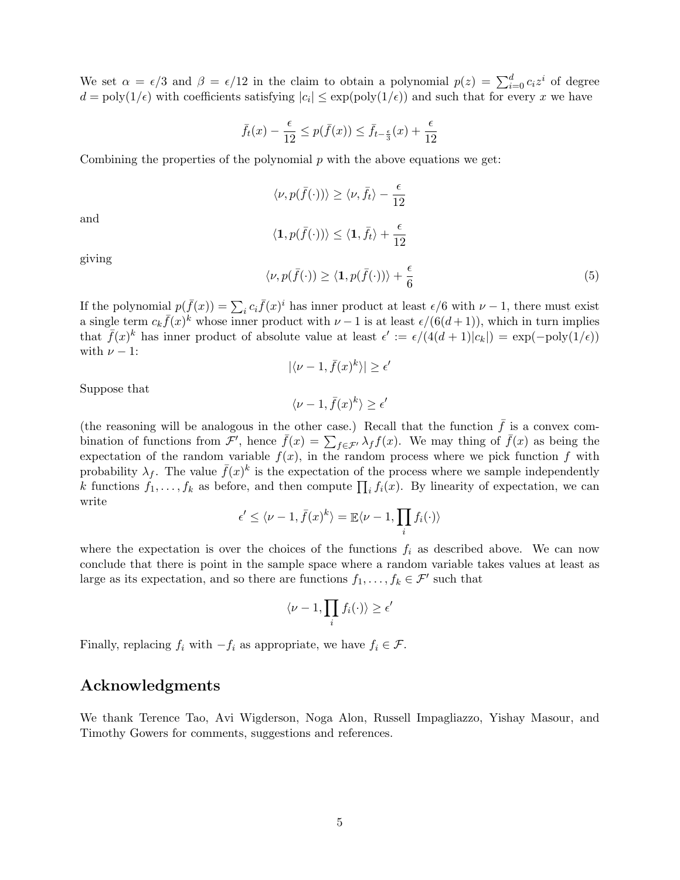We set  $\alpha = \epsilon/3$  and  $\beta = \epsilon/12$  in the claim to obtain a polynomial  $p(z) = \sum_{i=0}^{d} c_i z^i$  of degree  $d = \text{poly}(1/\epsilon)$  with coefficients satisfying  $|c_i| \leq \exp(\text{poly}(1/\epsilon))$  and such that for every x we have

$$
\bar{f}_t(x) - \frac{\epsilon}{12} \le p(\bar{f}(x)) \le \bar{f}_{t-\frac{\epsilon}{3}}(x) + \frac{\epsilon}{12}
$$

Combining the properties of the polynomial  $p$  with the above equations we get:

$$
\langle \nu, p(\bar{f}(\cdot)) \rangle \ge \langle \nu, \bar{f}_t \rangle - \frac{\epsilon}{12}
$$

and

$$
\langle \mathbf{1}, p(\bar{f}(\cdot)) \rangle \le \langle \mathbf{1}, \bar{f}_t \rangle + \frac{\epsilon}{12}
$$

giving

$$
\langle \nu, p(\bar{f}(\cdot)) \ge \langle \mathbf{1}, p(\bar{f}(\cdot)) \rangle + \frac{\epsilon}{6} \tag{5}
$$

If the polynomial  $p(\bar{f}(x)) = \sum_i c_i \bar{f}(x)^i$  has inner product at least  $\epsilon/6$  with  $\nu - 1$ , there must exist a single term  $c_k \bar{f}(x)^k$  whose inner product with  $\nu - 1$  is at least  $\epsilon/(6(d+1))$ , which in turn implies that  $\bar{f}(x)^k$  has inner product of absolute value at least  $\epsilon' := \epsilon/(4(d+1)|c_k|) = \exp(-\text{poly}(1/\epsilon))$ with  $\nu - 1$ :  $\overline{a}$ 

$$
|\langle \nu - 1, \bar{f}(x)^k \rangle| \ge \epsilon
$$

Suppose that

$$
\langle \nu-1,\bar{f}(x)^k\rangle\geq \epsilon'
$$

(the reasoning will be analogous in the other case.) Recall that the function  $\bar{f}$  is a convex combination of functions from  $\mathcal{F}'$ , hence  $\bar{f}(x) = \sum_{f \in \mathcal{F}'} \lambda_f f(x)$ . We may thing of  $\bar{f}(x)$  as being the expectation of the random variable  $f(x)$ , in the random process where we pick function f with probability  $\lambda_f$ . The value  $\bar{f}(x)^k$  is the expectation of the process where we sample independently k functions  $f_1, \ldots, f_k$  as before, and then compute  $\prod_i f_i(x)$ . By linearity of expectation, we can write

$$
\epsilon' \le \langle \nu - 1, \bar{f}(x)^k \rangle = \mathbb{E} \langle \nu - 1, \prod_i f_i(\cdot) \rangle
$$

where the expectation is over the choices of the functions  $f_i$  as described above. We can now conclude that there is point in the sample space where a random variable takes values at least as large as its expectation, and so there are functions  $f_1, \ldots, f_k \in \mathcal{F}'$  such that

$$
\langle \nu-1, \prod_i f_i(\cdot) \rangle \ge \epsilon'
$$

Finally, replacing  $f_i$  with  $-f_i$  as appropriate, we have  $f_i \in \mathcal{F}$ .

## Acknowledgments

We thank Terence Tao, Avi Wigderson, Noga Alon, Russell Impagliazzo, Yishay Masour, and Timothy Gowers for comments, suggestions and references.